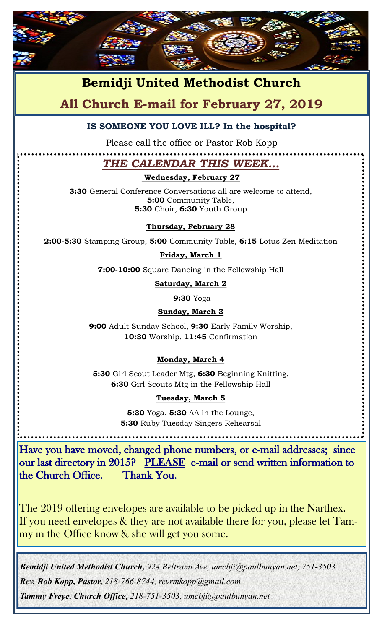

# **Bemidji United Methodist Church**

## **All Church E-mail for February 27, 2019**

#### **IS SOMEONE YOU LOVE ILL? In the hospital?**

Please call the office or Pastor Rob Kopp

### *THE CALENDAR THIS WEEK…*

#### **Wednesday, February 27**

**3:30** General Conference Conversations all are welcome to attend, **5:00** Community Table, **5:30** Choir, **6:30** Youth Group

#### **Thursday, February 28**

**2:00-5:30** Stamping Group, **5:00** Community Table, **6:15** Lotus Zen Meditation

#### **Friday, March 1**

**7:00-10:00** Square Dancing in the Fellowship Hall

**Saturday, March 2**

**9:30** Yoga

#### **Sunday, March 3**

**9:00** Adult Sunday School, **9:30** Early Family Worship, **10:30** Worship, **11:45** Confirmation

#### **Monday, March 4**

**5:30** Girl Scout Leader Mtg, **6:30** Beginning Knitting, **6:30** Girl Scouts Mtg in the Fellowship Hall

#### **Tuesday, March 5**

**5:30** Yoga, **5:30** AA in the Lounge, **5:30** Ruby Tuesday Singers Rehearsal

Have you have moved, changed phone numbers, or e-mail addresses; since our last directory in 2015? PLEASE e-mail or send written information to the Church Office. Thank You.

The 2019 offering envelopes are available to be picked up in the Narthex. If you need envelopes & they are not available there for you, please let Tammy in the Office know & she will get you some.

*Bemidji United Methodist Church, 924 Beltrami Ave, umcbji@paulbunyan.net, 751-3503 Rev. Rob Kopp, Pastor, 218-766-8744, revrmkopp@gmail.com Tammy Freye, Church Office, 218-751-3503, umcbji@paulbunyan.net*